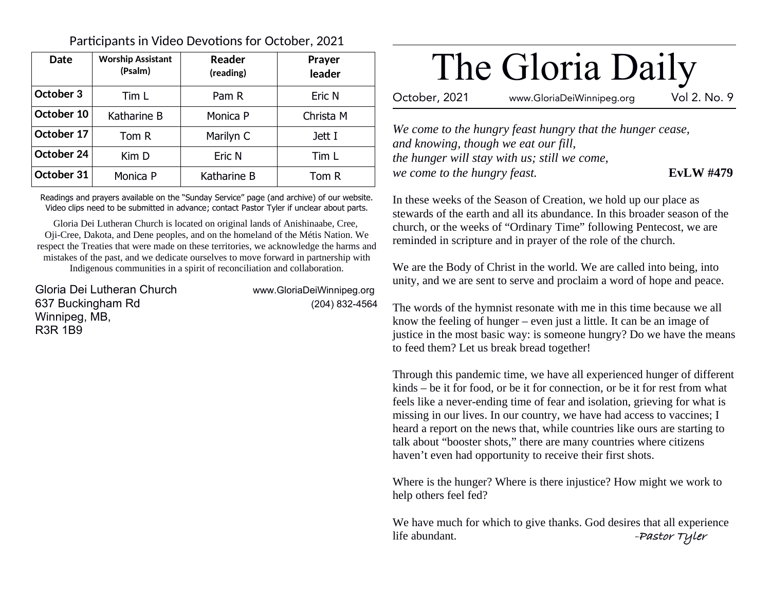| <b>Date</b> | <b>Worship Assistant</b><br>(Psalm) | Reader<br>(reading) | <b>Prayer</b><br>leader |
|-------------|-------------------------------------|---------------------|-------------------------|
| October 3   | Tim L                               | Pam R               | Eric N                  |
| October 10  | Katharine B                         | Monica P            | Christa M               |
| October 17  | Tom R                               | Marilyn C           | Jett I                  |
| October 24  | Kim D                               | Eric N              | Tim L                   |
| October 31  | Monica P                            | Katharine B         | Tom R                   |

Participants in Video Devotions for October, 2021

Readings and prayers available on the "Sunday Service" page (and archive) of our website. Video clips need to be submitted in advance; contact Pastor Tyler if unclear about parts.

Gloria Dei Lutheran Church is located on original lands of Anishinaabe, Cree, Oji-Cree, Dakota, and Dene peoples, and on the homeland of the Métis Nation. We respect the Treaties that were made on these territories, we acknowledge the harms and mistakes of the past, and we dedicate ourselves to move forward in partnership with Indigenous communities in a spirit of reconciliation and collaboration.

Gloria Dei Lutheran Church www.GloriaDeiWinnipeg.org 637 Buckingham Rd (204) 832-4564 Winnipeg, MB, R3R 1B9

# The Gloria Daily

October, 2021 www.GloriaDeiWinnipeg.org Vol 2. No. 9

*We come to the hungry feast hungry that the hunger cease, and knowing, though we eat our fill, the hunger will stay with us; still we come, we come to the hungry feast.* **EvLW #479**

In these weeks of the Season of Creation, we hold up our place as stewards of the earth and all its abundance. In this broader season of the church, or the weeks of "Ordinary Time" following Pentecost, we are reminded in scripture and in prayer of the role of the church.

We are the Body of Christ in the world. We are called into being, into unity, and we are sent to serve and proclaim a word of hope and peace.

The words of the hymnist resonate with me in this time because we all know the feeling of hunger – even just a little. It can be an image of justice in the most basic way: is someone hungry? Do we have the means to feed them? Let us break bread together!

Through this pandemic time, we have all experienced hunger of different kinds – be it for food, or be it for connection, or be it for rest from what feels like a never-ending time of fear and isolation, grieving for what is missing in our lives. In our country, we have had access to vaccines; I heard a report on the news that, while countries like ours are starting to talk about "booster shots," there are many countries where citizens haven't even had opportunity to receive their first shots.

Where is the hunger? Where is there injustice? How might we work to help others feel fed?

We have much for which to give thanks. God desires that all experience life abundant. **-Pastor Tyler**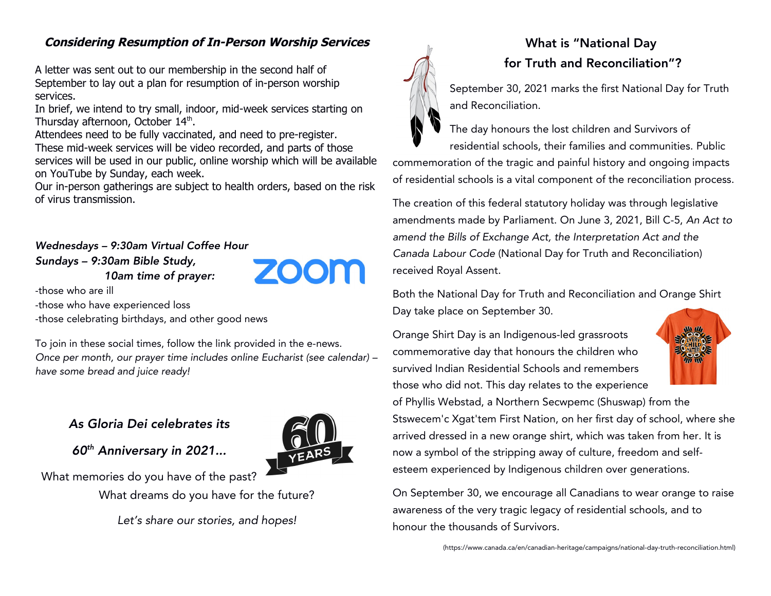## **Considering Resumption of In-Person Worship Services**

A letter was sent out to our membership in the second half of September to lay out a plan for resumption of in-person worship services.

In brief, we intend to try small, indoor, mid-week services starting on Thursday afternoon, October 14<sup>th</sup>.

Attendees need to be fully vaccinated, and need to pre-register. These mid-week services will be video recorded, and parts of those services will be used in our public, online worship which will be available on YouTube by Sunday, each week.

Our in-person gatherings are subject to health orders, based on the risk of virus transmission.

## Wednesdays – 9:30am Virtual Coffee Hour Sundays – 9:30am Bible Study, 10am time of prayer:

-those who are ill

-those who have experienced loss

-those celebrating birthdays, and other good news

To join in these social times, follow the link provided in the e-news. Once per month, our prayer time includes online Eucharist (see calendar) – have some bread and juice ready!

## As Gloria Dei celebrates its

60th Anniversary in 2021...

What memories do you have of the past? What dreams do you have for the future?

Let's share our stories, and hopes!



## What is "National Day for Truth and Reconciliation"?

September 30, 2021 marks the first National Day for Truth and Reconciliation.

The day honours the lost children and Survivors of residential schools, their families and communities. Public commemoration of the tragic and painful history and ongoing impacts of residential schools is a vital component of the reconciliation process.

The creation of this federal statutory holiday was through legislative amendments made by Parliament. On June 3, 2021, Bill C-5, An Act to amend the Bills of Exchange Act, the Interpretation Act and the Canada Labour Code (National Day for Truth and Reconciliation) received Royal Assent.

Both the National Day for Truth and Reconciliation and Orange Shirt Day take place on September 30.

Orange Shirt Day is an Indigenous-led grassroots commemorative day that honours the children who survived Indian Residential Schools and remembers those who did not. This day relates to the experience



of Phyllis Webstad, a Northern Secwpemc (Shuswap) from the Stswecem'c Xgat'tem First Nation, on her first day of school, where she arrived dressed in a new orange shirt, which was taken from her. It is now a symbol of the stripping away of culture, freedom and selfesteem experienced by Indigenous children over generations.

On September 30, we encourage all Canadians to wear orange to raise awareness of the very tragic legacy of residential schools, and to honour the thousands of Survivors.